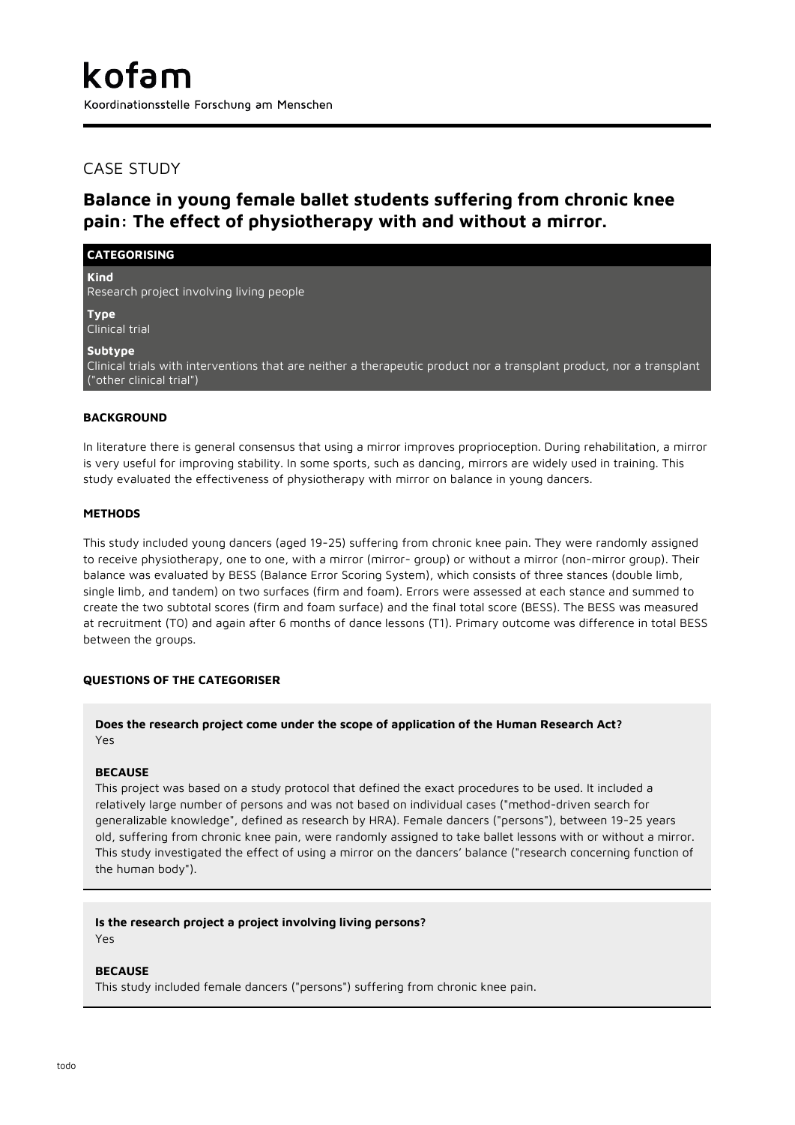## CASE STUDY

# **Balance in young female ballet students suffering from chronic knee pain: The effect of physiotherapy with and without a mirror.**

## **CATEGORISING**

**Kind**

Research project involving living people

**Type** Clinical trial

## **Subtype**

Clinical trials with interventions that are neither a therapeutic product nor a transplant product, nor a transplant ("other clinical trial")

## **BACKGROUND**

In literature there is general consensus that using a mirror improves proprioception. During rehabilitation, a mirror is very useful for improving stability. In some sports, such as dancing, mirrors are widely used in training. This study evaluated the effectiveness of physiotherapy with mirror on balance in young dancers.

## **METHODS**

This study included young dancers (aged 19-25) suffering from chronic knee pain. They were randomly assigned to receive physiotherapy, one to one, with a mirror (mirror- group) or without a mirror (non-mirror group). Their balance was evaluated by BESS (Balance Error Scoring System), which consists of three stances (double limb, single limb, and tandem) on two surfaces (firm and foam). Errors were assessed at each stance and summed to create the two subtotal scores (firm and foam surface) and the final total score (BESS). The BESS was measured at recruitment (T0) and again after 6 months of dance lessons (T1). Primary outcome was difference in total BESS between the groups.

## **QUESTIONS OF THE CATEGORISER**

**Does the research project come under the scope of application of the Human Research Act?** Yes

### **BECAUSE**

This project was based on a study protocol that defined the exact procedures to be used. It included a relatively large number of persons and was not based on individual cases ("method-driven search for generalizable knowledge", defined as research by HRA). Female dancers ("persons"), between 19-25 years old, suffering from chronic knee pain, were randomly assigned to take ballet lessons with or without a mirror. This study investigated the effect of using a mirror on the dancers' balance ("research concerning function of the human body").

#### **Is the research project a project involving living persons?** Yes

## **BECAUSE**

This study included female dancers ("persons") suffering from chronic knee pain.